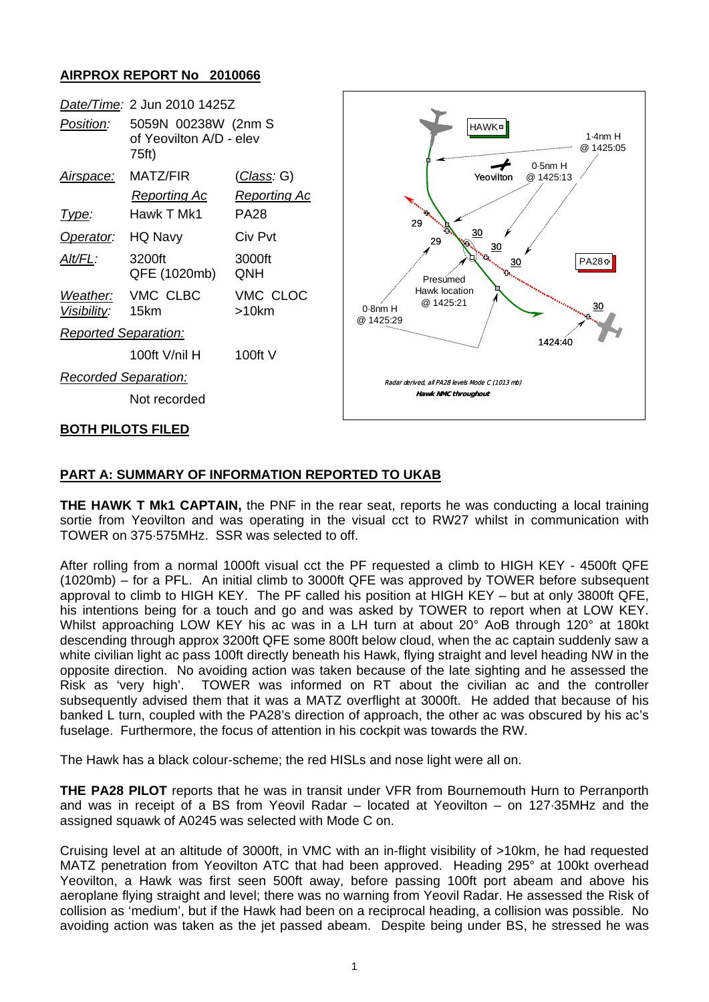## **AIRPROX REPORT No 2010066**



## **PART A: SUMMARY OF INFORMATION REPORTED TO UKAB**

**THE HAWK T Mk1 CAPTAIN,** the PNF in the rear seat, reports he was conducting a local training sortie from Yeovilton and was operating in the visual cct to RW27 whilst in communication with TOWER on 375·575MHz. SSR was selected to off.

After rolling from a normal 1000ft visual cct the PF requested a climb to HIGH KEY - 4500ft QFE (1020mb) – for a PFL. An initial climb to 3000ft QFE was approved by TOWER before subsequent approval to climb to HIGH KEY. The PF called his position at HIGH KEY – but at only 3800ft QFE, his intentions being for a touch and go and was asked by TOWER to report when at LOW KEY. Whilst approaching LOW KEY his ac was in a LH turn at about 20° AoB through 120° at 180kt descending through approx 3200ft QFE some 800ft below cloud, when the ac captain suddenly saw a white civilian light ac pass 100ft directly beneath his Hawk, flying straight and level heading NW in the opposite direction. No avoiding action was taken because of the late sighting and he assessed the Risk as 'very high'. TOWER was informed on RT about the civilian ac and the controller subsequently advised them that it was a MATZ overflight at 3000ft. He added that because of his banked L turn, coupled with the PA28's direction of approach, the other ac was obscured by his ac's fuselage. Furthermore, the focus of attention in his cockpit was towards the RW.

The Hawk has a black colour-scheme; the red HISLs and nose light were all on.

**THE PA28 PILOT** reports that he was in transit under VFR from Bournemouth Hurn to Perranporth and was in receipt of a BS from Yeovil Radar – located at Yeovilton – on 127·35MHz and the assigned squawk of A0245 was selected with Mode C on.

Cruising level at an altitude of 3000ft, in VMC with an in-flight visibility of >10km, he had requested MATZ penetration from Yeovilton ATC that had been approved. Heading 295° at 100kt overhead Yeovilton, a Hawk was first seen 500ft away, before passing 100ft port abeam and above his aeroplane flying straight and level; there was no warning from Yeovil Radar. He assessed the Risk of collision as 'medium', but if the Hawk had been on a reciprocal heading, a collision was possible. No avoiding action was taken as the jet passed abeam. Despite being under BS, he stressed he was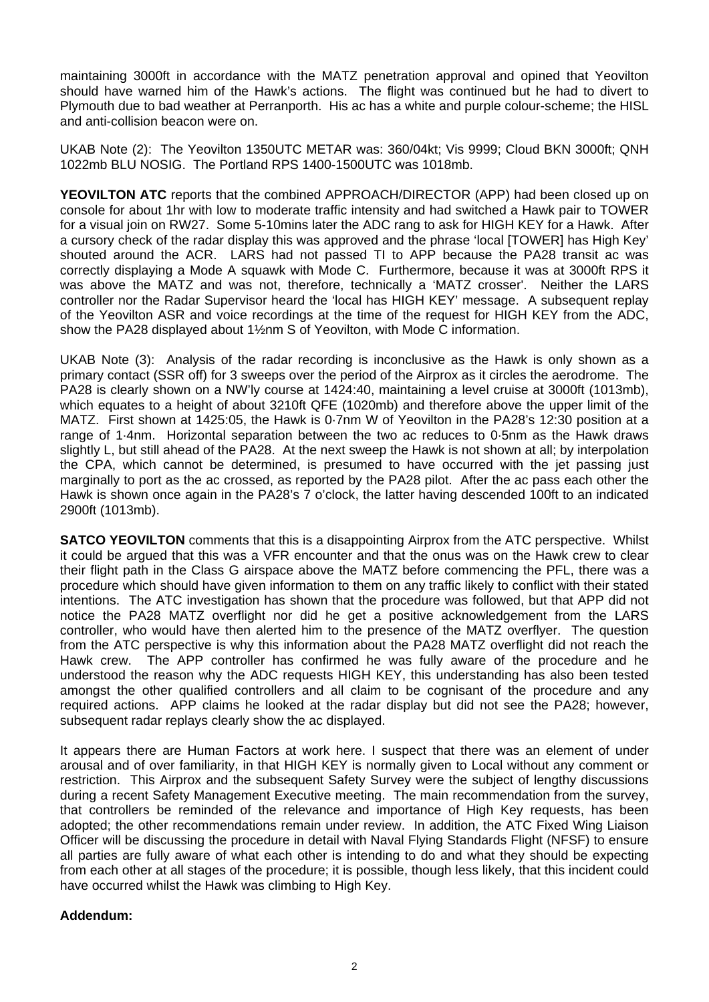maintaining 3000ft in accordance with the MATZ penetration approval and opined that Yeovilton should have warned him of the Hawk's actions. The flight was continued but he had to divert to Plymouth due to bad weather at Perranporth. His ac has a white and purple colour-scheme; the HISL and anti-collision beacon were on.

UKAB Note (2): The Yeovilton 1350UTC METAR was: 360/04kt; Vis 9999; Cloud BKN 3000ft; QNH 1022mb BLU NOSIG. The Portland RPS 1400-1500UTC was 1018mb.

**YEOVILTON ATC** reports that the combined APPROACH/DIRECTOR (APP) had been closed up on console for about 1hr with low to moderate traffic intensity and had switched a Hawk pair to TOWER for a visual join on RW27. Some 5-10mins later the ADC rang to ask for HIGH KEY for a Hawk. After a cursory check of the radar display this was approved and the phrase 'local [TOWER] has High Key' shouted around the ACR. LARS had not passed TI to APP because the PA28 transit ac was correctly displaying a Mode A squawk with Mode C. Furthermore, because it was at 3000ft RPS it was above the MATZ and was not, therefore, technically a 'MATZ crosser'. Neither the LARS controller nor the Radar Supervisor heard the 'local has HIGH KEY' message. A subsequent replay of the Yeovilton ASR and voice recordings at the time of the request for HIGH KEY from the ADC, show the PA28 displayed about 1½nm S of Yeovilton, with Mode C information.

UKAB Note (3): Analysis of the radar recording is inconclusive as the Hawk is only shown as a primary contact (SSR off) for 3 sweeps over the period of the Airprox as it circles the aerodrome. The PA28 is clearly shown on a NW'ly course at 1424:40, maintaining a level cruise at 3000ft (1013mb), which equates to a height of about 3210ft QFE (1020mb) and therefore above the upper limit of the MATZ. First shown at 1425:05, the Hawk is 0·7nm W of Yeovilton in the PA28's 12:30 position at a range of 1·4nm. Horizontal separation between the two ac reduces to 0·5nm as the Hawk draws slightly L, but still ahead of the PA28. At the next sweep the Hawk is not shown at all; by interpolation the CPA, which cannot be determined, is presumed to have occurred with the jet passing just marginally to port as the ac crossed, as reported by the PA28 pilot. After the ac pass each other the Hawk is shown once again in the PA28's 7 o'clock, the latter having descended 100ft to an indicated 2900ft (1013mb).

**SATCO YEOVILTON** comments that this is a disappointing Airprox from the ATC perspective. Whilst it could be argued that this was a VFR encounter and that the onus was on the Hawk crew to clear their flight path in the Class G airspace above the MATZ before commencing the PFL, there was a procedure which should have given information to them on any traffic likely to conflict with their stated intentions. The ATC investigation has shown that the procedure was followed, but that APP did not notice the PA28 MATZ overflight nor did he get a positive acknowledgement from the LARS controller, who would have then alerted him to the presence of the MATZ overflyer. The question from the ATC perspective is why this information about the PA28 MATZ overflight did not reach the Hawk crew. The APP controller has confirmed he was fully aware of the procedure and he understood the reason why the ADC requests HIGH KEY, this understanding has also been tested amongst the other qualified controllers and all claim to be cognisant of the procedure and any required actions. APP claims he looked at the radar display but did not see the PA28; however, subsequent radar replays clearly show the ac displayed.

It appears there are Human Factors at work here. I suspect that there was an element of under arousal and of over familiarity, in that HIGH KEY is normally given to Local without any comment or restriction. This Airprox and the subsequent Safety Survey were the subject of lengthy discussions during a recent Safety Management Executive meeting. The main recommendation from the survey, that controllers be reminded of the relevance and importance of High Key requests, has been adopted; the other recommendations remain under review. In addition, the ATC Fixed Wing Liaison Officer will be discussing the procedure in detail with Naval Flying Standards Flight (NFSF) to ensure all parties are fully aware of what each other is intending to do and what they should be expecting from each other at all stages of the procedure; it is possible, though less likely, that this incident could have occurred whilst the Hawk was climbing to High Key.

#### **Addendum:**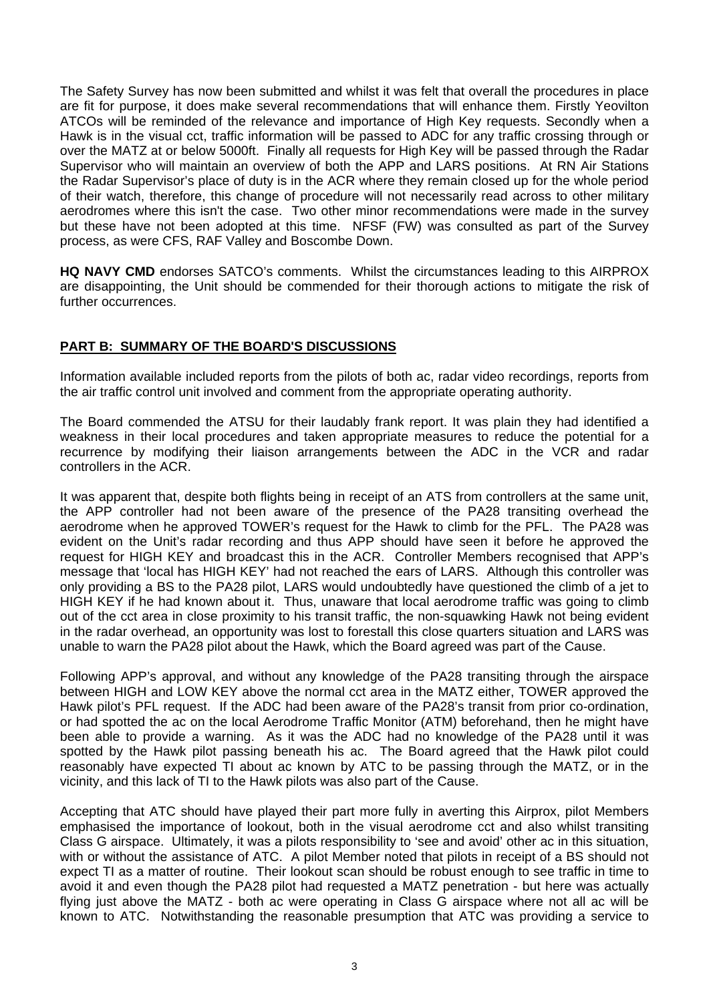The Safety Survey has now been submitted and whilst it was felt that overall the procedures in place are fit for purpose, it does make several recommendations that will enhance them. Firstly Yeovilton ATCOs will be reminded of the relevance and importance of High Key requests. Secondly when a Hawk is in the visual cct, traffic information will be passed to ADC for any traffic crossing through or over the MATZ at or below 5000ft. Finally all requests for High Key will be passed through the Radar Supervisor who will maintain an overview of both the APP and LARS positions. At RN Air Stations the Radar Supervisor's place of duty is in the ACR where they remain closed up for the whole period of their watch, therefore, this change of procedure will not necessarily read across to other military aerodromes where this isn't the case. Two other minor recommendations were made in the survey but these have not been adopted at this time. NFSF (FW) was consulted as part of the Survey process, as were CFS, RAF Valley and Boscombe Down.

**HQ NAVY CMD** endorses SATCO's comments. Whilst the circumstances leading to this AIRPROX are disappointing, the Unit should be commended for their thorough actions to mitigate the risk of further occurrences.

## **PART B: SUMMARY OF THE BOARD'S DISCUSSIONS**

Information available included reports from the pilots of both ac, radar video recordings, reports from the air traffic control unit involved and comment from the appropriate operating authority.

The Board commended the ATSU for their laudably frank report. It was plain they had identified a weakness in their local procedures and taken appropriate measures to reduce the potential for a recurrence by modifying their liaison arrangements between the ADC in the VCR and radar controllers in the ACR.

It was apparent that, despite both flights being in receipt of an ATS from controllers at the same unit, the APP controller had not been aware of the presence of the PA28 transiting overhead the aerodrome when he approved TOWER's request for the Hawk to climb for the PFL. The PA28 was evident on the Unit's radar recording and thus APP should have seen it before he approved the request for HIGH KEY and broadcast this in the ACR. Controller Members recognised that APP's message that 'local has HIGH KEY' had not reached the ears of LARS. Although this controller was only providing a BS to the PA28 pilot, LARS would undoubtedly have questioned the climb of a jet to HIGH KEY if he had known about it. Thus, unaware that local aerodrome traffic was going to climb out of the cct area in close proximity to his transit traffic, the non-squawking Hawk not being evident in the radar overhead, an opportunity was lost to forestall this close quarters situation and LARS was unable to warn the PA28 pilot about the Hawk, which the Board agreed was part of the Cause.

Following APP's approval, and without any knowledge of the PA28 transiting through the airspace between HIGH and LOW KEY above the normal cct area in the MATZ either, TOWER approved the Hawk pilot's PFL request. If the ADC had been aware of the PA28's transit from prior co-ordination, or had spotted the ac on the local Aerodrome Traffic Monitor (ATM) beforehand, then he might have been able to provide a warning. As it was the ADC had no knowledge of the PA28 until it was spotted by the Hawk pilot passing beneath his ac. The Board agreed that the Hawk pilot could reasonably have expected TI about ac known by ATC to be passing through the MATZ, or in the vicinity, and this lack of TI to the Hawk pilots was also part of the Cause.

Accepting that ATC should have played their part more fully in averting this Airprox, pilot Members emphasised the importance of lookout, both in the visual aerodrome cct and also whilst transiting Class G airspace. Ultimately, it was a pilots responsibility to 'see and avoid' other ac in this situation, with or without the assistance of ATC. A pilot Member noted that pilots in receipt of a BS should not expect TI as a matter of routine. Their lookout scan should be robust enough to see traffic in time to avoid it and even though the PA28 pilot had requested a MATZ penetration - but here was actually flying just above the MATZ - both ac were operating in Class G airspace where not all ac will be known to ATC. Notwithstanding the reasonable presumption that ATC was providing a service to